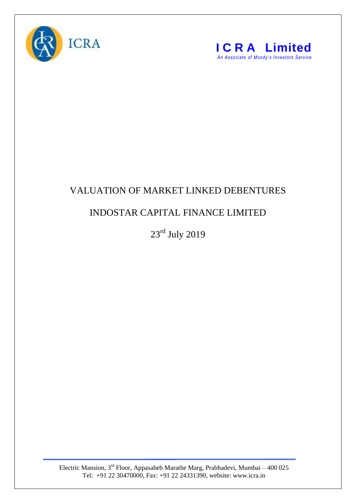



## VALUATION OF MARKET LINKED DEBENTURES

## INDOSTAR CAPITAL FINANCE LIMITED

23rd July 2019

Electric Mansion,  $3<sup>rd</sup>$  Floor, Appasaheb Marathe Marg, Prabhadevi, Mumbai – 400 025 Tel: +91 22 30470000, Fax: +91 22 24331390, website: www.icra.in